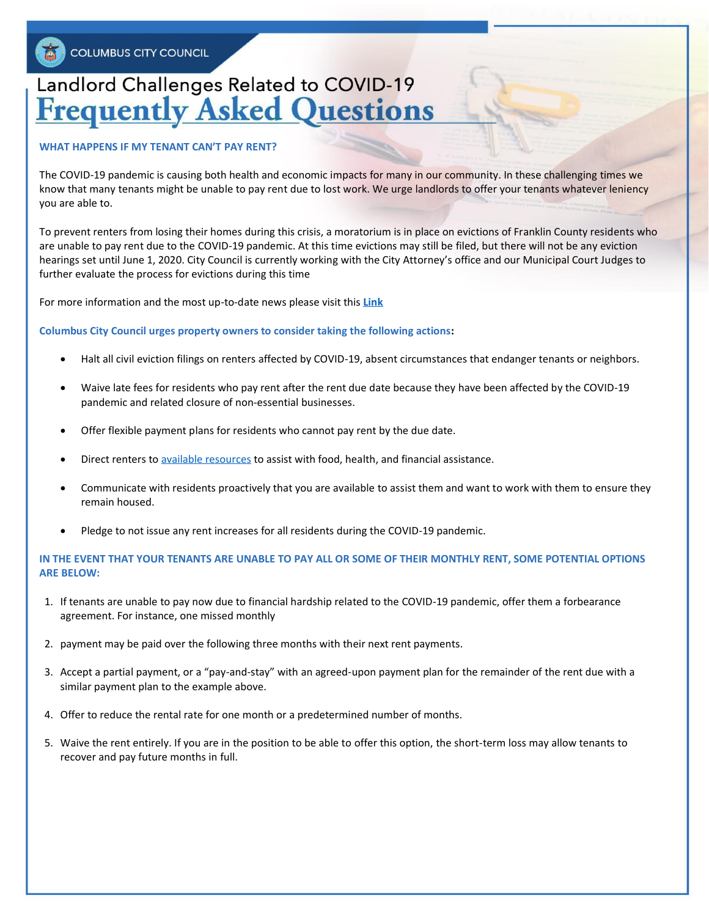# Landlord Challenges Related to COVID-19 **Frequently Asked Questions**

#### **WHAT HAPPENS IF MY TENANT CAN'T PAY RENT?**

The COVID-19 pandemic is causing both health and economic impacts for many in our community. In these challenging times we know that many tenants might be unable to pay rent due to lost work. We urge landlords to offer your tenants whatever leniency you are able to.

To prevent renters from losing their homes during this crisis, a moratorium is in place on evictions of Franklin County residents who are unable to pay rent due to the COVID-19 pandemic. At this time evictions may still be filed, but there will not be any eviction hearings set until June 1, 2020. City Council is currently working with the City Attorney's office and our Municipal Court Judges to further evaluate the process for evictions during this time

For more information and the most up-to-date news please visit this **[Link](http://www.fcmcclerk.com/?announcement#franklin-county-municipal-court-operations-during-covid19-pandemic)**

**Columbus City Council urges property owners to consider taking the following actions:**

- Halt all civil eviction filings on renters affected by COVID-19, absent circumstances that endanger tenants or neighbors.
- Waive late fees for residents who pay rent after the rent due date because they have been affected by the COVID-19 pandemic and related closure of non-essential businesses.
- Offer flexible payment plans for residents who cannot pay rent by the due date.
- Direct renters t[o available resources](https://www.columbus.gov/covid19resources/) to assist with food, health, and financial assistance.
- Communicate with residents proactively that you are available to assist them and want to work with them to ensure they remain housed.
- Pledge to not issue any rent increases for all residents during the COVID-19 pandemic.

### **IN THE EVENT THAT YOUR TENANTS ARE UNABLE TO PAY ALL OR SOME OF THEIR MONTHLY RENT, SOME POTENTIAL OPTIONS ARE BELOW:**

- 1. If tenants are unable to pay now due to financial hardship related to the COVID-19 pandemic, offer them a forbearance agreement. For instance, one missed monthly
- 2. payment may be paid over the following three months with their next rent payments.
- 3. Accept a partial payment, or a "pay-and-stay" with an agreed-upon payment plan for the remainder of the rent due with a similar payment plan to the example above.
- 4. Offer to reduce the rental rate for one month or a predetermined number of months.
- 5. Waive the rent entirely. If you are in the position to be able to offer this option, the short-term loss may allow tenants to recover and pay future months in full.